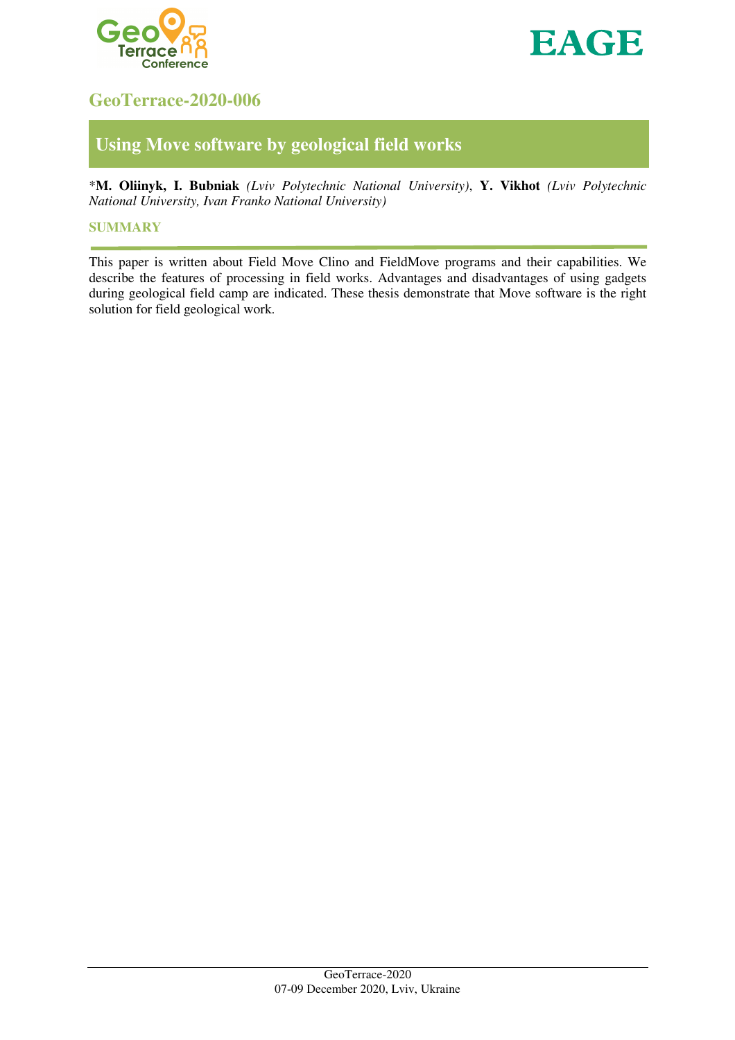



# **GeoTerrace-2020-006**

# **Using Move software by geological field works**

\***M. Oliinyk, I. Bubniak** *(Lviv Polytechnic National University)*, **Y. Vikhot** *(Lviv Polytechnic National University, Ivan Franko National University)*

### **SUMMARY**

This paper is written about Field Move Clino and FieldMove programs and their capabilities. We describe the features of processing in field works. Advantages and disadvantages of using gadgets during geological field camp are indicated. These thesis demonstrate that Move software is the right solution for field geological work.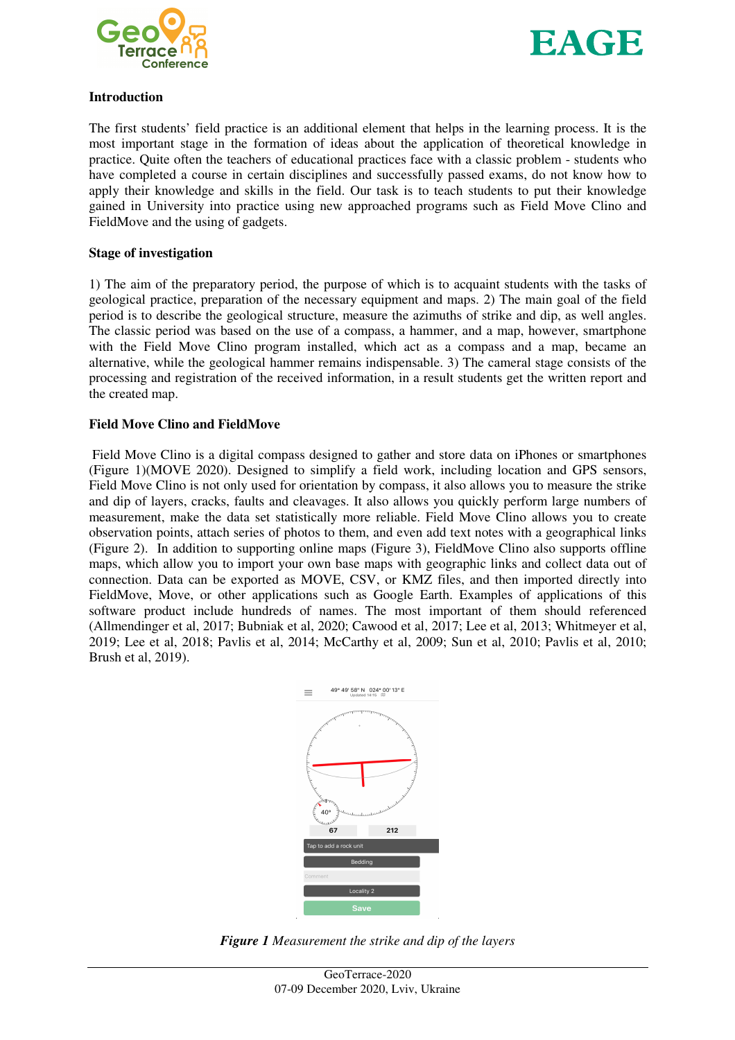



#### **Introduction**

The first students' field practice is an additional element that helps in the learning process. It is the most important stage in the formation of ideas about the application of theoretical knowledge in practice. Quite often the teachers of educational practices face with a classic problem - students who have completed a course in certain disciplines and successfully passed exams, do not know how to apply their knowledge and skills in the field. Our task is to teach students to put their knowledge gained in University into practice using new approached programs such as Field Move Clino and FieldMove and the using of gadgets.

#### **Stage of investigation**

1) The aim of the preparatory period, the purpose of which is to acquaint students with the tasks of geological practice, preparation of the necessary equipment and maps. 2) The main goal of the field period is to describe the geological structure, measure the azimuths of strike and dip, as well angles. The classic period was based on the use of a compass, a hammer, and a map, however, smartphone with the Field Move Clino program installed, which act as a compass and a map, became an alternative, while the geological hammer remains indispensable. 3) The cameral stage consists of the processing and registration of the received information, in a result students get the written report and the created map.

### **Field Move Clino and FieldMove**

Field Move Clino is a digital compass designed to gather and store data on iPhones or smartphones (Figure 1)(MOVE 2020). Designed to simplify a field work, including location and GPS sensors, Field Move Clino is not only used for orientation by compass, it also allows you to measure the strike and dip of layers, cracks, faults and cleavages. It also allows you quickly perform large numbers of measurement, make the data set statistically more reliable. Field Move Clino allows you to create observation points, attach series of photos to them, and even add text notes with a geographical links (Figure 2). In addition to supporting online maps (Figure 3), FieldMove Clino also supports offline maps, which allow you to import your own base maps with geographic links and collect data out of connection. Data can be exported as MOVE, CSV, or KMZ files, and then imported directly into FieldMove, Move, or other applications such as Google Earth. Examples of applications of this software product include hundreds of names. The most important of them should referenced (Allmendinger et al, 2017; Bubniak et al, 2020; Cawood et al, 2017; Lee et al, 2013; Whitmeyer et al, 2019; Lee et al, 2018; Pavlis et al, 2014; McCarthy et al, 2009; Sun et al, 2010; Pavlis et al, 2010; Brush et al, 2019).



*Figure 1 Measurement the strike and dip of the layers*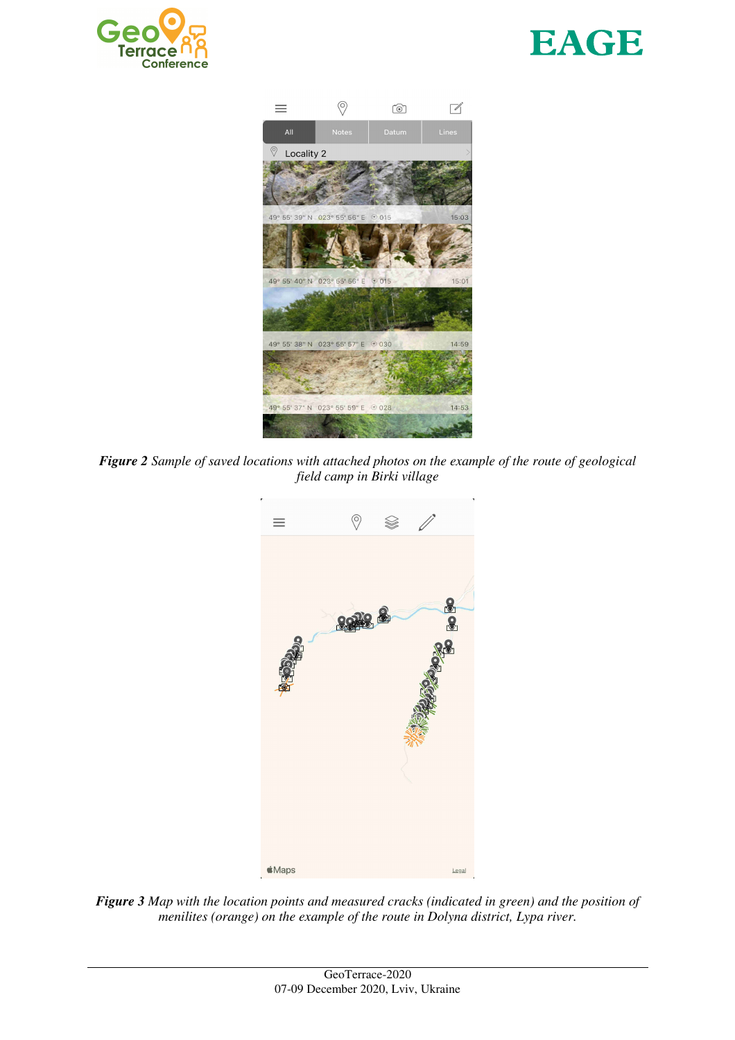





*Figure 2 Sample of saved locations with attached photos on the example of the route of geological field camp in Birki village* 



*Figure 3 Map with the location points and measured cracks (indicated in green) and the position of menilites (orange) on the example of the route in Dolyna district, Lypa river.*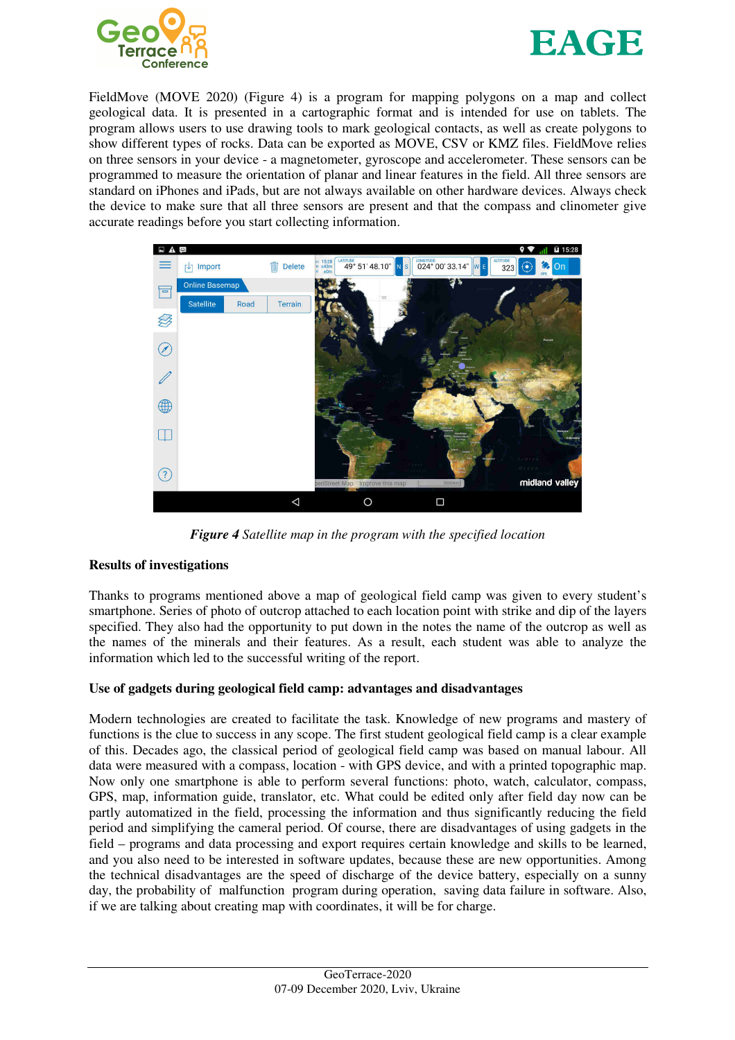



FieldMove (MOVE 2020) (Figure 4) is a program for mapping polygons on a map and collect geological data. It is presented in a cartographic format and is intended for use on tablets. The program allows users to use drawing tools to mark geological contacts, as well as create polygons to show different types of rocks. Data can be exported as MOVE, CSV or KMZ files. FieldMove relies on three sensors in your device - a magnetometer, gyroscope and accelerometer. These sensors can be programmed to measure the orientation of planar and linear features in the field. All three sensors are standard on iPhones and iPads, but are not always available on other hardware devices. Always check the device to make sure that all three sensors are present and that the compass and clinometer give accurate readings before you start collecting information.



*Figure 4 Satellite map in the program with the specified location* 

# **Results of investigations**

Thanks to programs mentioned above a map of geological field camp was given to every student's smartphone. Series of photo of outcrop attached to each location point with strike and dip of the layers specified. They also had the opportunity to put down in the notes the name of the outcrop as well as the names of the minerals and their features. As a result, each student was able to analyze the information which led to the successful writing of the report.

# **Use of gadgets during geological field camp: advantages and disadvantages**

Modern technologies are created to facilitate the task. Knowledge of new programs and mastery of functions is the clue to success in any scope. The first student geological field camp is a clear example of this. Decades ago, the classical period of geological field camp was based on manual labour. All data were measured with a compass, location - with GPS device, and with a printed topographic map. Now only one smartphone is able to perform several functions: photo, watch, calculator, compass, GPS, map, information guide, translator, etc. What could be edited only after field day now can be partly automatized in the field, processing the information and thus significantly reducing the field period and simplifying the cameral period. Of course, there are disadvantages of using gadgets in the field – programs and data processing and export requires certain knowledge and skills to be learned, and you also need to be interested in software updates, because these are new opportunities. Among the technical disadvantages are the speed of discharge of the device battery, especially on a sunny day, the probability of malfunction program during operation, saving data failure in software. Also, if we are talking about creating map with coordinates, it will be for charge.